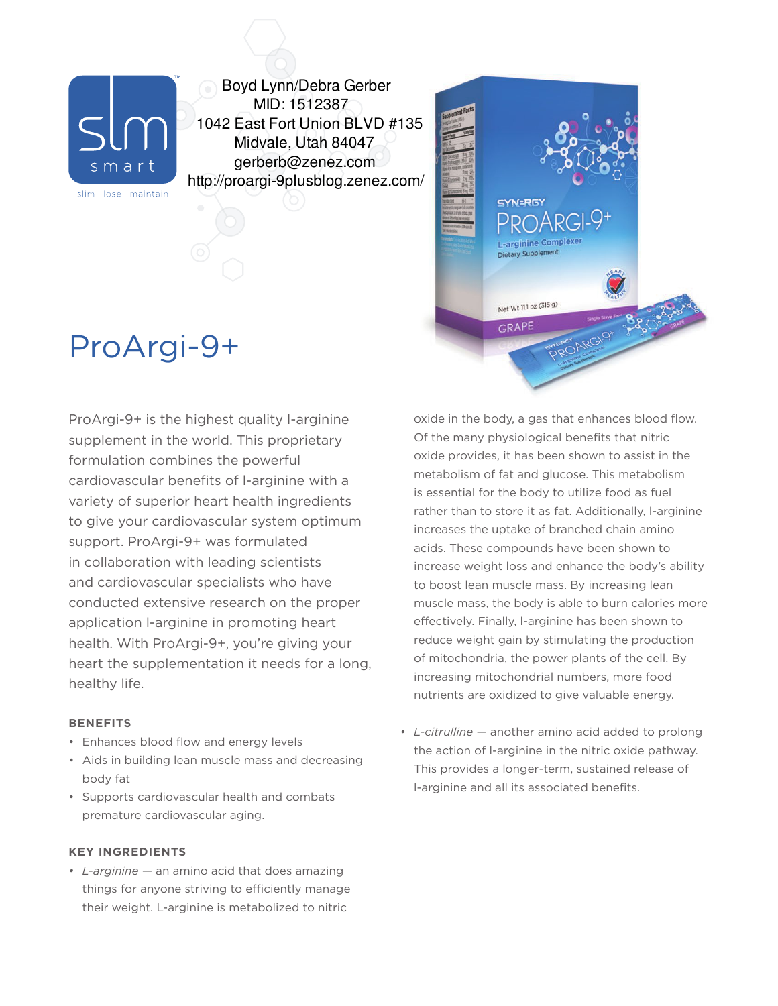

slim · lose · maintain

Boyd Lynn/Debra Gerber MID: 1512387 1042 East Fort Union BLVD #135 Midvale, Utah 84047 gerberb@zenez.com http://proargi-9plusblog.zenez.com/

# ProArgi-9+

ProArgi-9+ is the highest quality l-arginine supplement in the world. This proprietary formulation combines the powerful cardiovascular benefits of l-arginine with a variety of superior heart health ingredients to give your cardiovascular system optimum support. ProArgi-9+ was formulated in collaboration with leading scientists and cardiovascular specialists who have conducted extensive research on the proper application l-arginine in promoting heart health. With ProArgi-9+, you're giving your heart the supplementation it needs for a long, healthy life.

## **BENEFITS**

- Enhances blood flow and energy levels
- Aids in building lean muscle mass and decreasing body fat
- Supports cardiovascular health and combats premature cardiovascular aging.

## **KEY INGREDIENTS**

*• L-arginine* — an amino acid that does amazing things for anyone striving to efficiently manage their weight. L-arginine is metabolized to nitric



SYN=RGY

L-arginine Complexe **Dietary Supplement** 

Net Wt 11.1 oz (315 g) GRAPE

*• L-citrulline* — another amino acid added to prolong the action of l-arginine in the nitric oxide pathway. This provides a longer-term, sustained release of l-arginine and all its associated benefits.